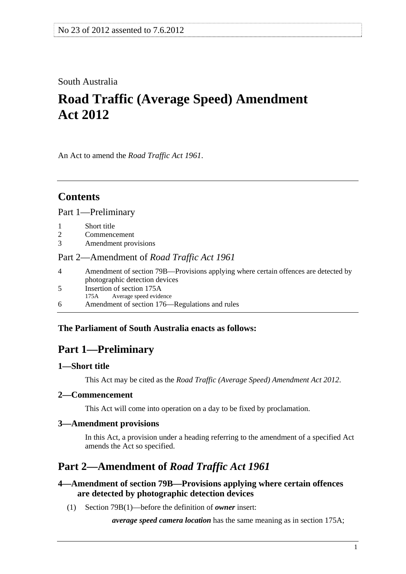# <span id="page-0-0"></span>South Australia

# **Road Traffic (Average Speed) Amendment Act 2012**

An Act to amend the *[Road Traffic Act 1961](http://www.legislation.sa.gov.au/index.aspx?action=legref&type=act&legtitle=Road%20Traffic%20Act%201961)*.

# **Contents**

[Part 1—Preliminary](#page-0-0)

- [1 Short title](#page-0-0)
- [2 Commencement](#page-0-0)
- [3 Amendment provisions](#page-0-0)

#### [Part 2—Amendment of](#page-0-0) *Road Traffic Act 1961*

| 4  | Amendment of section 79B—Provisions applying where certain offences are detected by |
|----|-------------------------------------------------------------------------------------|
|    | photographic detection devices                                                      |
| 5. | Insertion of section 175A                                                           |
|    | 175A Average speed evidence                                                         |
| 6. | Amendment of section 176—Regulations and rules                                      |
|    |                                                                                     |

# **The Parliament of South Australia enacts as follows:**

# **Part 1—Preliminary**

## **1—Short title**

This Act may be cited as the *Road Traffic (Average Speed) Amendment Act 2012*.

#### **2—Commencement**

This Act will come into operation on a day to be fixed by proclamation.

#### **3—Amendment provisions**

In this Act, a provision under a heading referring to the amendment of a specified Act amends the Act so specified.

# **Part 2—Amendment of** *Road Traffic Act 1961*

## **4—Amendment of section 79B—Provisions applying where certain offences are detected by photographic detection devices**

(1) Section 79B(1)—before the definition of *owner* insert:

*average speed camera location* has the same meaning as in section 175A;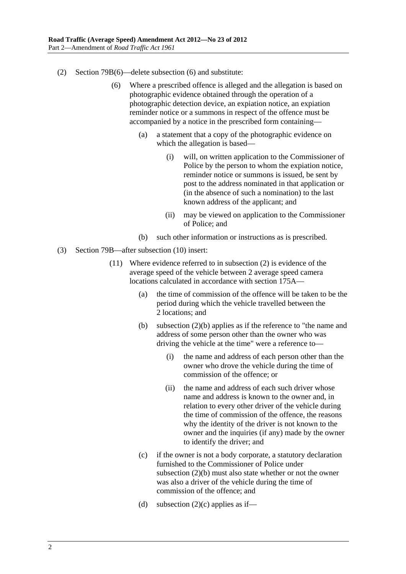- (2) Section 79B(6)—delete subsection (6) and substitute:
	- (6) Where a prescribed offence is alleged and the allegation is based on photographic evidence obtained through the operation of a photographic detection device, an expiation notice, an expiation reminder notice or a summons in respect of the offence must be accompanied by a notice in the prescribed form containing—
		- (a) a statement that a copy of the photographic evidence on which the allegation is based—
			- (i) will, on written application to the Commissioner of Police by the person to whom the expiation notice, reminder notice or summons is issued, be sent by post to the address nominated in that application or (in the absence of such a nomination) to the last known address of the applicant; and
			- (ii) may be viewed on application to the Commissioner of Police; and
		- (b) such other information or instructions as is prescribed.
- (3) Section 79B—after subsection (10) insert:
	- (11) Where evidence referred to in subsection (2) is evidence of the average speed of the vehicle between 2 average speed camera locations calculated in accordance with section 175A—
		- (a) the time of commission of the offence will be taken to be the period during which the vehicle travelled between the 2 locations; and
		- (b) subsection (2)(b) applies as if the reference to "the name and address of some person other than the owner who was driving the vehicle at the time" were a reference to—
			- (i) the name and address of each person other than the owner who drove the vehicle during the time of commission of the offence; or
			- (ii) the name and address of each such driver whose name and address is known to the owner and, in relation to every other driver of the vehicle during the time of commission of the offence, the reasons why the identity of the driver is not known to the owner and the inquiries (if any) made by the owner to identify the driver; and
		- (c) if the owner is not a body corporate, a statutory declaration furnished to the Commissioner of Police under subsection (2)(b) must also state whether or not the owner was also a driver of the vehicle during the time of commission of the offence; and
		- (d) subsection  $(2)(c)$  applies as if—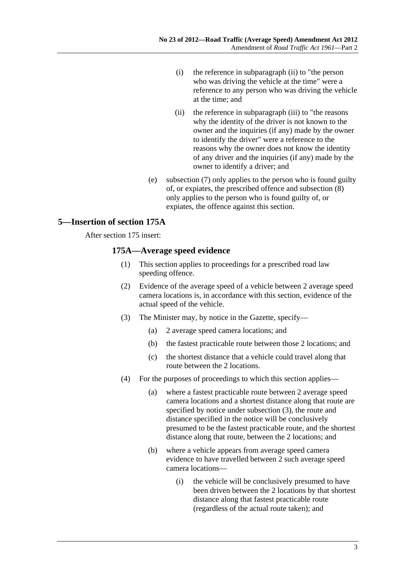- <span id="page-2-0"></span> (i) the reference in subparagraph (ii) to "the person who was driving the vehicle at the time" were a reference to any person who was driving the vehicle at the time; and
- (ii) the reference in subparagraph (iii) to "the reasons why the identity of the driver is not known to the owner and the inquiries (if any) made by the owner to identify the driver" were a reference to the reasons why the owner does not know the identity of any driver and the inquiries (if any) made by the owner to identify a driver; and
- (e) subsection (7) only applies to the person who is found guilty of, or expiates, the prescribed offence and subsection (8) only applies to the person who is found guilty of, or expiates, the offence against this section.

## **5—Insertion of section 175A**

After section 175 insert:

#### **175A—Average speed evidence**

- (1) This section applies to proceedings for a prescribed road law speeding offence.
- (2) Evidence of the average speed of a vehicle between 2 average speed camera locations is, in accordance with this section, evidence of the actual speed of the vehicle.
- (3) The Minister may, by notice in the Gazette, specify—
	- (a) 2 average speed camera locations; and
	- (b) the fastest practicable route between those 2 locations; and
	- (c) the shortest distance that a vehicle could travel along that route between the 2 locations.
- (4) For the purposes of proceedings to which this section applies—
	- (a) where a fastest practicable route between 2 average speed camera locations and a shortest distance along that route are specified by notice under [subsection \(3\),](#page-2-0) the route and distance specified in the notice will be conclusively presumed to be the fastest practicable route, and the shortest distance along that route, between the 2 locations; and
	- (b) where a vehicle appears from average speed camera evidence to have travelled between 2 such average speed camera locations—
		- (i) the vehicle will be conclusively presumed to have been driven between the 2 locations by that shortest distance along that fastest practicable route (regardless of the actual route taken); and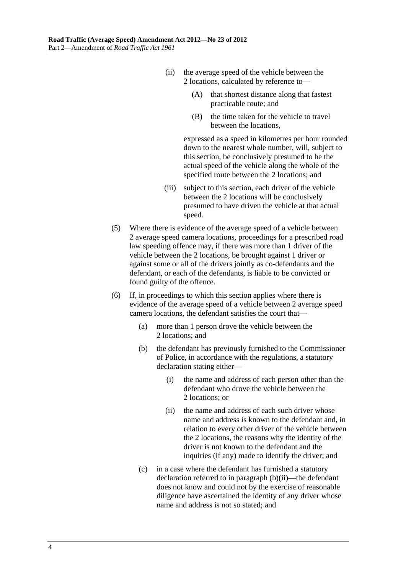- <span id="page-3-0"></span> (ii) the average speed of the vehicle between the 2 locations, calculated by reference to—
	- (A) that shortest distance along that fastest practicable route; and
	- (B) the time taken for the vehicle to travel between the locations,

expressed as a speed in kilometres per hour rounded down to the nearest whole number, will, subject to this section, be conclusively presumed to be the actual speed of the vehicle along the whole of the specified route between the 2 locations; and

- (iii) subject to this section, each driver of the vehicle between the 2 locations will be conclusively presumed to have driven the vehicle at that actual speed.
- (5) Where there is evidence of the average speed of a vehicle between 2 average speed camera locations, proceedings for a prescribed road law speeding offence may, if there was more than 1 driver of the vehicle between the 2 locations, be brought against 1 driver or against some or all of the drivers jointly as co-defendants and the defendant, or each of the defendants, is liable to be convicted or found guilty of the offence.
- (6) If, in proceedings to which this section applies where there is evidence of the average speed of a vehicle between 2 average speed camera locations, the defendant satisfies the court that—
	- (a) more than 1 person drove the vehicle between the 2 locations; and
	- (b) the defendant has previously furnished to the Commissioner of Police, in accordance with the regulations, a statutory declaration stating either—
		- (i) the name and address of each person other than the defendant who drove the vehicle between the 2 locations; or
		- (ii) the name and address of each such driver whose name and address is known to the defendant and, in relation to every other driver of the vehicle between the 2 locations, the reasons why the identity of the driver is not known to the defendant and the inquiries (if any) made to identify the driver; and
	- (c) in a case where the defendant has furnished a statutory declaration referred to in [paragraph \(b\)\(ii\)—](#page-3-0)the defendant does not know and could not by the exercise of reasonable diligence have ascertained the identity of any driver whose name and address is not so stated; and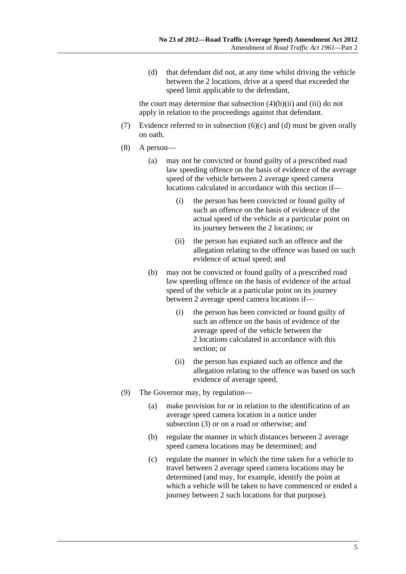<span id="page-4-0"></span> (d) that defendant did not, at any time whilst driving the vehicle between the 2 locations, drive at a speed that exceeded the speed limit applicable to the defendant,

the court may determine that subsection  $(4)(b)(ii)$  and  $(iii)$  do not apply in relation to the proceedings against that defendant.

- (7) Evidence referred to in subsection  $(6)(c)$  and  $(d)$  must be given orally on oath.
- (8) A person—
	- (a) may not be convicted or found guilty of a prescribed road law speeding offence on the basis of evidence of the average speed of the vehicle between 2 average speed camera locations calculated in accordance with this section if—
		- (i) the person has been convicted or found guilty of such an offence on the basis of evidence of the actual speed of the vehicle at a particular point on its journey between the 2 locations; or
		- (ii) the person has expiated such an offence and the allegation relating to the offence was based on such evidence of actual speed; and
	- (b) may not be convicted or found guilty of a prescribed road law speeding offence on the basis of evidence of the actual speed of the vehicle at a particular point on its journey between 2 average speed camera locations if—
		- (i) the person has been convicted or found guilty of such an offence on the basis of evidence of the average speed of the vehicle between the 2 locations calculated in accordance with this section; or
		- (ii) the person has expiated such an offence and the allegation relating to the offence was based on such evidence of average speed.
- (9) The Governor may, by regulation—
	- (a) make provision for or in relation to the identification of an average speed camera location in a notice under [subsection \(3\)](#page-2-0) or on a road or otherwise; and
	- (b) regulate the manner in which distances between 2 average speed camera locations may be determined; and
	- (c) regulate the manner in which the time taken for a vehicle to travel between 2 average speed camera locations may be determined (and may, for example, identify the point at which a vehicle will be taken to have commenced or ended a journey between 2 such locations for that purpose).